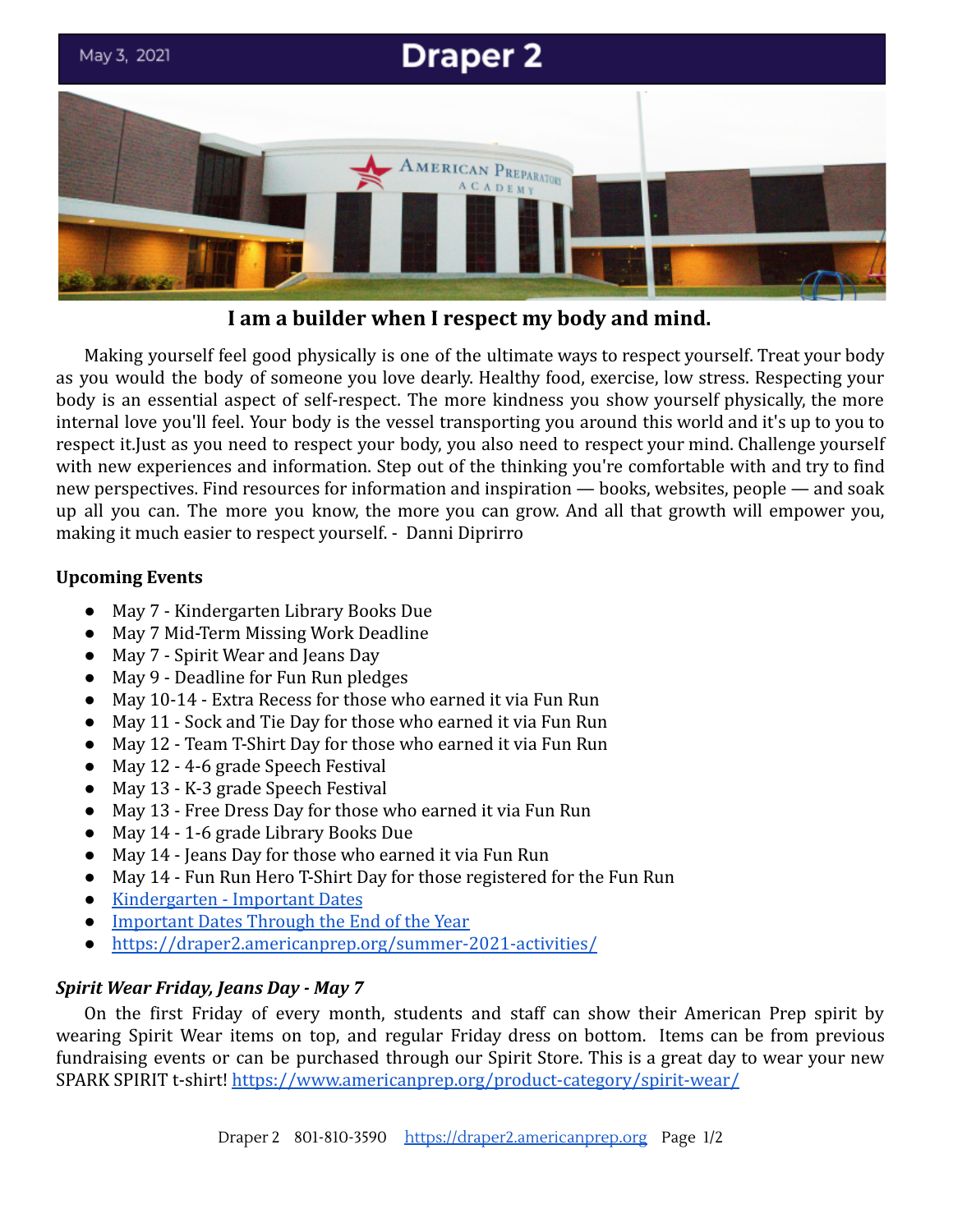

**I am a builder when I respect my body and mind.**

Making yourself feel good physically is one of the ultimate ways to respect yourself. Treat your body as you would the body of someone you love dearly. Healthy food, exercise, low stress. Respecting your body is an essential aspect of self-respect. The more kindness you show yourself physically, the more internal love you'll feel. Your body is the vessel transporting you around this world and it's up to you to respect it.Just as you need to respect your body, you also need to respect your mind. Challenge yourself with new experiences and information. Step out of the thinking you're comfortable with and try to find new perspectives. Find resources for information and inspiration — books, websites, people — and soak up all you can. The more you know, the more you can grow. And all that growth will empower you, making it much easier to respect yourself. - Danni Diprirro

## **Upcoming Events**

- May 7 Kindergarten Library Books Due
- May 7 Mid-Term Missing Work Deadline
- May 7 Spirit Wear and Jeans Day
- May 9 Deadline for Fun Run pledges
- May 10-14 Extra Recess for those who earned it via Fun Run
- May 11 Sock and Tie Day for those who earned it via Fun Run
- May 12 Team T-Shirt Day for those who earned it via Fun Run
- May 12 4-6 grade Speech Festival
- May 13 K-3 grade Speech Festival
- May 13 Free Dress Day for those who earned it via Fun Run
- May 14 1-6 grade Library Books Due
- May 14 Jeans Day for those who earned it via Fun Run
- May 14 Fun Run Hero T-Shirt Day for those registered for the Fun Run
- [Kindergarten Important Dates](https://draper2.americanprep.org/kindergarten-end-of-year-important-dates-2021/)
- [Important Dates Through the End of the Year](https://docs.google.com/document/d/1J6M2qs3CgzwJghjMGlxaXbHNL2sZzsmAcC7pbZcyhG4/edit?usp=sharing)
- <https://draper2.americanprep.org/summer-2021-activities/>

# *Spirit Wear Friday, Jeans Day - May 7*

On the first Friday of every month, students and staff can show their American Prep spirit by wearing Spirit Wear items on top, and regular Friday dress on bottom. Items can be from previous fundraising events or can be purchased through our Spirit Store. This is a great day to wear your new SPARK SPIRIT t-shirt! <https://www.americanprep.org/product-category/spirit-wear/>